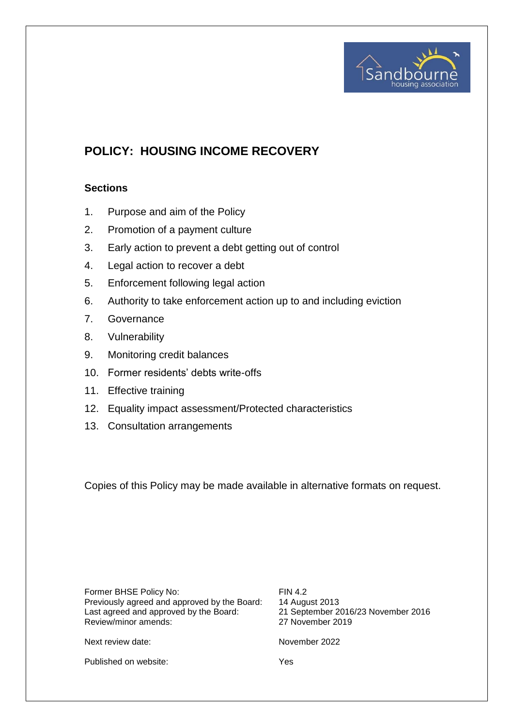

# **POLICY: HOUSING INCOME RECOVERY**

## **Sections**

- 1. Purpose and aim of the Policy
- 2. Promotion of a payment culture
- 3. Early action to prevent a debt getting out of control
- 4. Legal action to recover a debt
- 5. Enforcement following legal action
- 6. Authority to take enforcement action up to and including eviction
- 7. Governance
- 8. Vulnerability
- 9. Monitoring credit balances
- 10. Former residents' debts write-offs
- 11. Effective training
- 12. Equality impact assessment/Protected characteristics
- 13. Consultation arrangements

Copies of this Policy may be made available in alternative formats on request.

Former BHSE Policy No: FIN 4.2 Previously agreed and approved by the Board: 14 August 2013<br>Last agreed and approved by the Board: 21 September 2016/23 November 2016 Last agreed and approved by the Board: 21 September 2016<br>Review/minor amends: 27 November 2019 Review/minor amends:

Next review date: November 2022

Published on website: Yes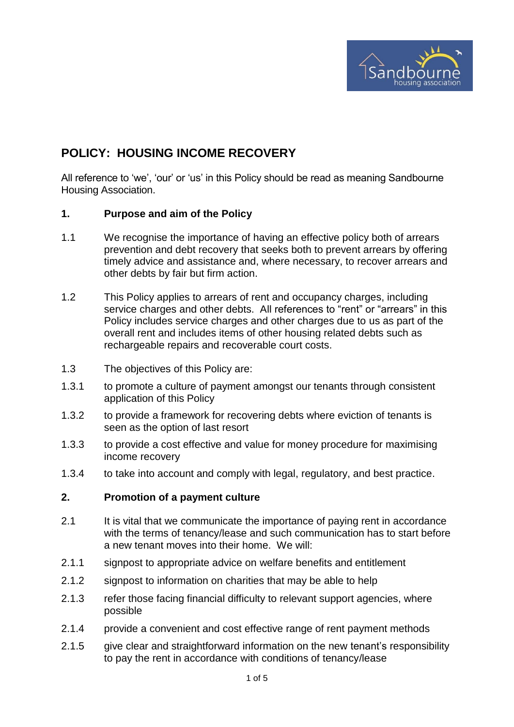

## **POLICY: HOUSING INCOME RECOVERY**

All reference to 'we', 'our' or 'us' in this Policy should be read as meaning Sandbourne Housing Association.

## **1. Purpose and aim of the Policy**

- 1.1 We recognise the importance of having an effective policy both of arrears prevention and debt recovery that seeks both to prevent arrears by offering timely advice and assistance and, where necessary, to recover arrears and other debts by fair but firm action.
- 1.2 This Policy applies to arrears of rent and occupancy charges, including service charges and other debts. All references to "rent" or "arrears" in this Policy includes service charges and other charges due to us as part of the overall rent and includes items of other housing related debts such as rechargeable repairs and recoverable court costs.
- 1.3 The objectives of this Policy are:
- 1.3.1 to promote a culture of payment amongst our tenants through consistent application of this Policy
- 1.3.2 to provide a framework for recovering debts where eviction of tenants is seen as the option of last resort
- 1.3.3 to provide a cost effective and value for money procedure for maximising income recovery
- 1.3.4 to take into account and comply with legal, regulatory, and best practice.

## **2. Promotion of a payment culture**

- 2.1 It is vital that we communicate the importance of paying rent in accordance with the terms of tenancy/lease and such communication has to start before a new tenant moves into their home. We will:
- 2.1.1 signpost to appropriate advice on welfare benefits and entitlement
- 2.1.2 signpost to information on charities that may be able to help
- 2.1.3 refer those facing financial difficulty to relevant support agencies, where possible
- 2.1.4 provide a convenient and cost effective range of rent payment methods
- 2.1.5 give clear and straightforward information on the new tenant's responsibility to pay the rent in accordance with conditions of tenancy/lease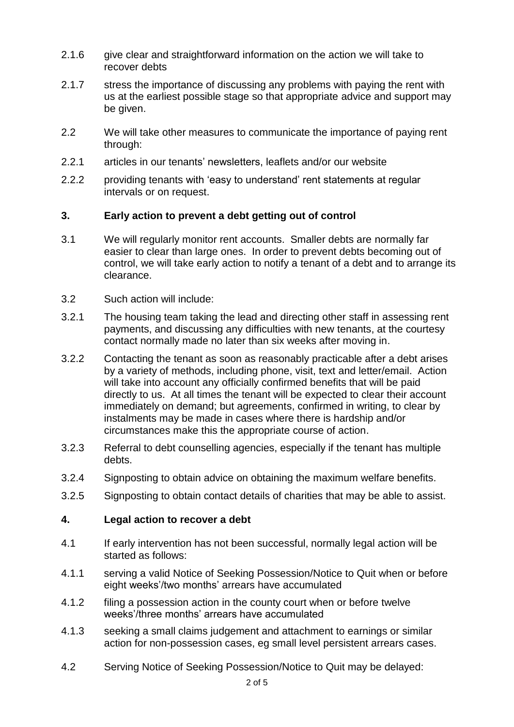- 2.1.6 give clear and straightforward information on the action we will take to recover debts
- 2.1.7 stress the importance of discussing any problems with paying the rent with us at the earliest possible stage so that appropriate advice and support may be given.
- 2.2 We will take other measures to communicate the importance of paying rent through:
- 2.2.1 articles in our tenants' newsletters, leaflets and/or our website
- 2.2.2 providing tenants with 'easy to understand' rent statements at regular intervals or on request.

## **3. Early action to prevent a debt getting out of control**

- 3.1 We will regularly monitor rent accounts. Smaller debts are normally far easier to clear than large ones. In order to prevent debts becoming out of control, we will take early action to notify a tenant of a debt and to arrange its clearance.
- 3.2 Such action will include:
- 3.2.1 The housing team taking the lead and directing other staff in assessing rent payments, and discussing any difficulties with new tenants, at the courtesy contact normally made no later than six weeks after moving in.
- 3.2.2 Contacting the tenant as soon as reasonably practicable after a debt arises by a variety of methods, including phone, visit, text and letter/email. Action will take into account any officially confirmed benefits that will be paid directly to us. At all times the tenant will be expected to clear their account immediately on demand; but agreements, confirmed in writing, to clear by instalments may be made in cases where there is hardship and/or circumstances make this the appropriate course of action.
- 3.2.3 Referral to debt counselling agencies, especially if the tenant has multiple debts.
- 3.2.4 Signposting to obtain advice on obtaining the maximum welfare benefits.
- 3.2.5 Signposting to obtain contact details of charities that may be able to assist.

## **4. Legal action to recover a debt**

- 4.1 If early intervention has not been successful, normally legal action will be started as follows:
- 4.1.1 serving a valid Notice of Seeking Possession/Notice to Quit when or before eight weeks'/two months' arrears have accumulated
- 4.1.2 filing a possession action in the county court when or before twelve weeks'/three months' arrears have accumulated
- 4.1.3 seeking a small claims judgement and attachment to earnings or similar action for non-possession cases, eg small level persistent arrears cases.
- 4.2 Serving Notice of Seeking Possession/Notice to Quit may be delayed: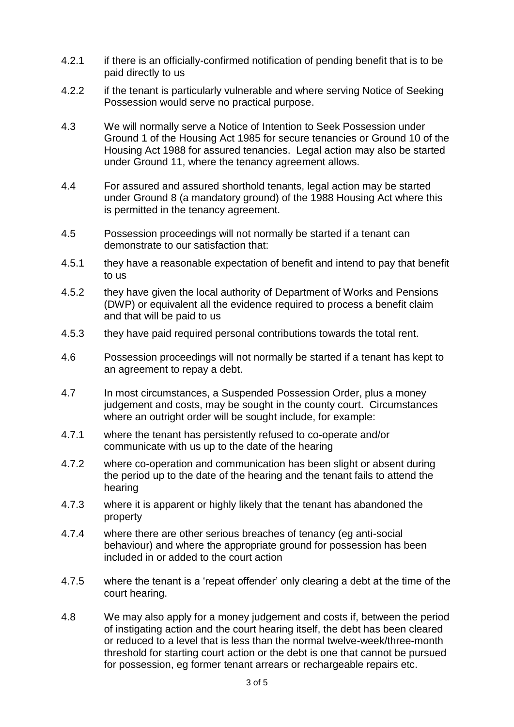- 4.2.1 if there is an officially-confirmed notification of pending benefit that is to be paid directly to us
- 4.2.2 if the tenant is particularly vulnerable and where serving Notice of Seeking Possession would serve no practical purpose.
- 4.3 We will normally serve a Notice of Intention to Seek Possession under Ground 1 of the Housing Act 1985 for secure tenancies or Ground 10 of the Housing Act 1988 for assured tenancies. Legal action may also be started under Ground 11, where the tenancy agreement allows.
- 4.4 For assured and assured shorthold tenants, legal action may be started under Ground 8 (a mandatory ground) of the 1988 Housing Act where this is permitted in the tenancy agreement.
- 4.5 Possession proceedings will not normally be started if a tenant can demonstrate to our satisfaction that:
- 4.5.1 they have a reasonable expectation of benefit and intend to pay that benefit to us
- 4.5.2 they have given the local authority of Department of Works and Pensions (DWP) or equivalent all the evidence required to process a benefit claim and that will be paid to us
- 4.5.3 they have paid required personal contributions towards the total rent.
- 4.6 Possession proceedings will not normally be started if a tenant has kept to an agreement to repay a debt.
- 4.7 In most circumstances, a Suspended Possession Order, plus a money judgement and costs, may be sought in the county court. Circumstances where an outright order will be sought include, for example:
- 4.7.1 where the tenant has persistently refused to co-operate and/or communicate with us up to the date of the hearing
- 4.7.2 where co-operation and communication has been slight or absent during the period up to the date of the hearing and the tenant fails to attend the hearing
- 4.7.3 where it is apparent or highly likely that the tenant has abandoned the property
- 4.7.4 where there are other serious breaches of tenancy (eg anti-social behaviour) and where the appropriate ground for possession has been included in or added to the court action
- 4.7.5 where the tenant is a 'repeat offender' only clearing a debt at the time of the court hearing.
- 4.8 We may also apply for a money judgement and costs if, between the period of instigating action and the court hearing itself, the debt has been cleared or reduced to a level that is less than the normal twelve-week/three-month threshold for starting court action or the debt is one that cannot be pursued for possession, eg former tenant arrears or rechargeable repairs etc.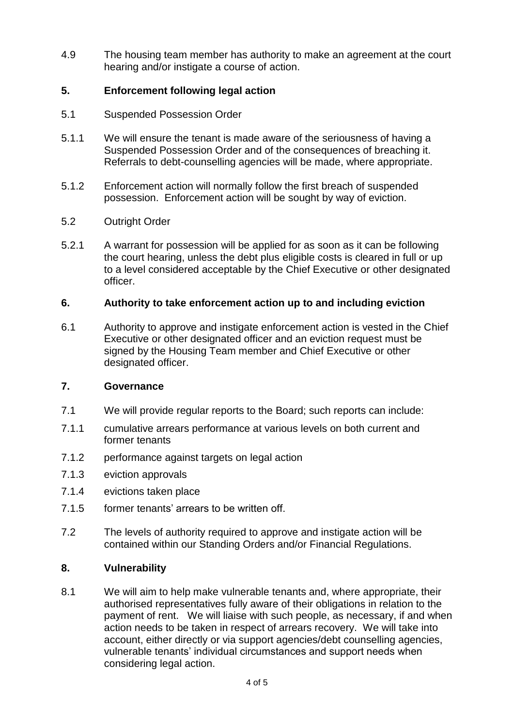4.9 The housing team member has authority to make an agreement at the court hearing and/or instigate a course of action.

## **5. Enforcement following legal action**

- 5.1 Suspended Possession Order
- 5.1.1 We will ensure the tenant is made aware of the seriousness of having a Suspended Possession Order and of the consequences of breaching it. Referrals to debt-counselling agencies will be made, where appropriate.
- 5.1.2 Enforcement action will normally follow the first breach of suspended possession. Enforcement action will be sought by way of eviction.
- 5.2 Outright Order
- 5.2.1 A warrant for possession will be applied for as soon as it can be following the court hearing, unless the debt plus eligible costs is cleared in full or up to a level considered acceptable by the Chief Executive or other designated officer.

## **6. Authority to take enforcement action up to and including eviction**

6.1 Authority to approve and instigate enforcement action is vested in the Chief Executive or other designated officer and an eviction request must be signed by the Housing Team member and Chief Executive or other designated officer.

## **7. Governance**

- 7.1 We will provide regular reports to the Board; such reports can include:
- 7.1.1 cumulative arrears performance at various levels on both current and former tenants
- 7.1.2 performance against targets on legal action
- 7.1.3 eviction approvals
- 7.1.4 evictions taken place
- 7.1.5 former tenants' arrears to be written off.
- 7.2 The levels of authority required to approve and instigate action will be contained within our Standing Orders and/or Financial Regulations.

## **8. Vulnerability**

8.1 We will aim to help make vulnerable tenants and, where appropriate, their authorised representatives fully aware of their obligations in relation to the payment of rent. We will liaise with such people, as necessary, if and when action needs to be taken in respect of arrears recovery. We will take into account, either directly or via support agencies/debt counselling agencies, vulnerable tenants' individual circumstances and support needs when considering legal action.